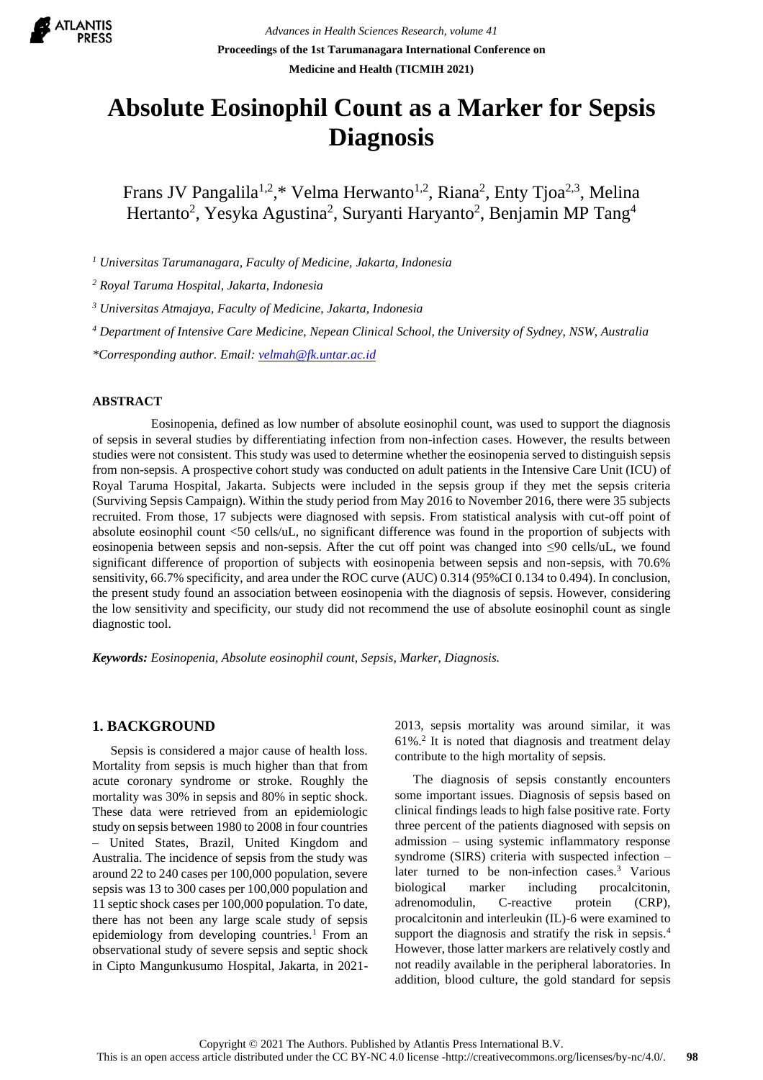

*Advances in Health Sciences Research, volume 41* **Proceedings of the 1st Tarumanagara International Conference on Medicine and Health (TICMIH 2021)**

# **Absolute Eosinophil Count as a Marker for Sepsis Diagnosis**

Frans JV Pangalila<sup>1,2</sup>,\* Velma Herwanto<sup>1,2</sup>, Riana<sup>2</sup>, Enty Tjoa<sup>2,3</sup>, Melina Hertanto<sup>2</sup>, Yesyka Agustina<sup>2</sup>, Suryanti Haryanto<sup>2</sup>, Benjamin MP Tang<sup>4</sup>

*<sup>1</sup> Universitas Tarumanagara, Faculty of Medicine, Jakarta, Indonesia*

*<sup>2</sup> Royal Taruma Hospital, Jakarta, Indonesia*

*<sup>3</sup> Universitas Atmajaya, Faculty of Medicine, Jakarta, Indonesia*

*<sup>4</sup> Department of Intensive Care Medicine, Nepean Clinical School, the University of Sydney, NSW, Australia*

*\*Corresponding author. Email: [velmah@fk.untar.ac.id](mailto:velmah@fk.untar.ac.id)*

# **ABSTRACT**

Eosinopenia, defined as low number of absolute eosinophil count, was used to support the diagnosis of sepsis in several studies by differentiating infection from non-infection cases. However, the results between studies were not consistent. This study was used to determine whether the eosinopenia served to distinguish sepsis from non-sepsis. A prospective cohort study was conducted on adult patients in the Intensive Care Unit (ICU) of Royal Taruma Hospital, Jakarta. Subjects were included in the sepsis group if they met the sepsis criteria (Surviving Sepsis Campaign). Within the study period from May 2016 to November 2016, there were 35 subjects recruited. From those, 17 subjects were diagnosed with sepsis. From statistical analysis with cut-off point of absolute eosinophil count <50 cells/uL, no significant difference was found in the proportion of subjects with eosinopenia between sepsis and non-sepsis. After the cut off point was changed into ≤90 cells/uL, we found significant difference of proportion of subjects with eosinopenia between sepsis and non-sepsis, with 70.6% sensitivity, 66.7% specificity, and area under the ROC curve (AUC) 0.314 (95%CI 0.134 to 0.494). In conclusion, the present study found an association between eosinopenia with the diagnosis of sepsis. However, considering the low sensitivity and specificity, our study did not recommend the use of absolute eosinophil count as single diagnostic tool.

*Keywords: Eosinopenia, Absolute eosinophil count, Sepsis, Marker, Diagnosis.*

# **1. BACKGROUND**

Sepsis is considered a major cause of health loss. Mortality from sepsis is much higher than that from acute coronary syndrome or stroke. Roughly the mortality was 30% in sepsis and 80% in septic shock. These data were retrieved from an epidemiologic study on sepsis between 1980 to 2008 in four countries – United States, Brazil, United Kingdom and Australia. The incidence of sepsis from the study was around 22 to 240 cases per 100,000 population, severe sepsis was 13 to 300 cases per 100,000 population and 11 septic shock cases per 100,000 population. To date, there has not been any large scale study of sepsis epidemiology from developing countries.<sup>1</sup> From an observational study of severe sepsis and septic shock in Cipto Mangunkusumo Hospital, Jakarta, in 20212013, sepsis mortality was around similar, it was 61%.<sup>2</sup> It is noted that diagnosis and treatment delay contribute to the high mortality of sepsis.

The diagnosis of sepsis constantly encounters some important issues. Diagnosis of sepsis based on clinical findings leads to high false positive rate. Forty three percent of the patients diagnosed with sepsis on admission – using systemic inflammatory response syndrome (SIRS) criteria with suspected infection – later turned to be non-infection cases. <sup>3</sup> Various biological marker including procalcitonin, adrenomodulin, C-reactive protein (CRP), procalcitonin and interleukin (IL)-6 were examined to support the diagnosis and stratify the risk in sepsis.<sup>4</sup> However, those latter markers are relatively costly and not readily available in the peripheral laboratories. In addition, blood culture, the gold standard for sepsis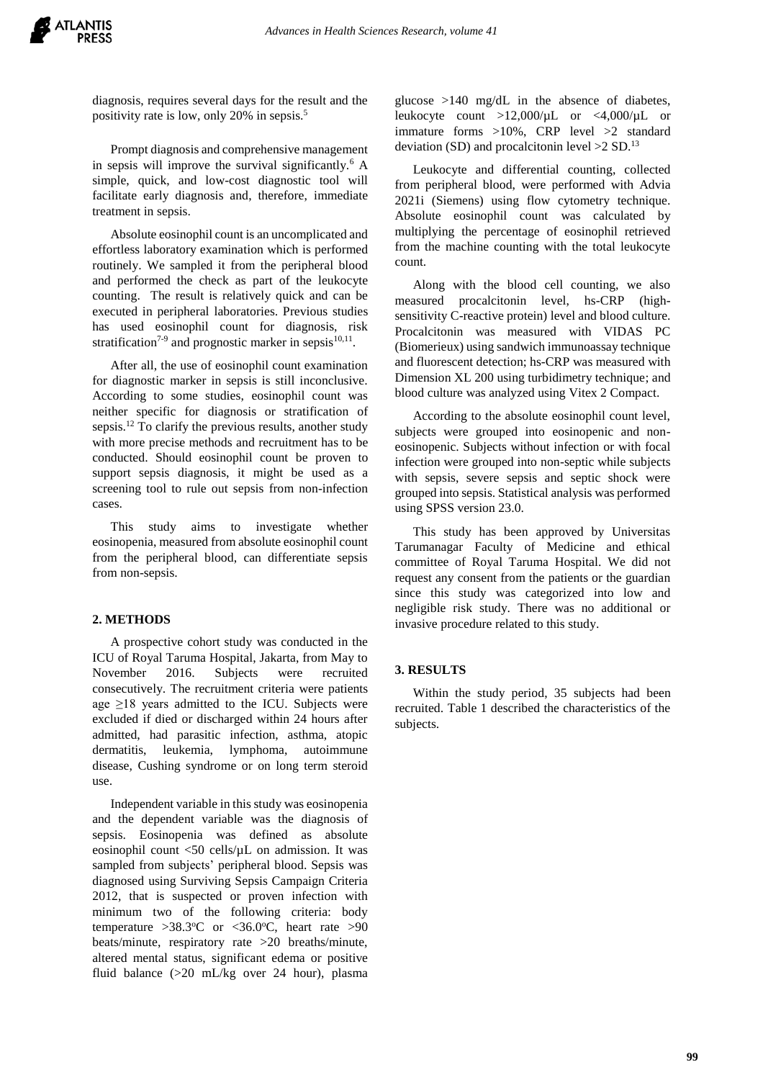

diagnosis, requires several days for the result and the positivity rate is low, only 20% in sepsis.<sup>5</sup>

Prompt diagnosis and comprehensive management in sepsis will improve the survival significantly.<sup>6</sup> A simple, quick, and low-cost diagnostic tool will facilitate early diagnosis and, therefore, immediate treatment in sepsis.

Absolute eosinophil count is an uncomplicated and effortless laboratory examination which is performed routinely. We sampled it from the peripheral blood and performed the check as part of the leukocyte counting. The result is relatively quick and can be executed in peripheral laboratories. Previous studies has used eosinophil count for diagnosis, risk stratification<sup>7-9</sup> and prognostic marker in sepsis<sup>10,11</sup>.

After all, the use of eosinophil count examination for diagnostic marker in sepsis is still inconclusive. According to some studies, eosinophil count was neither specific for diagnosis or stratification of sepsis.<sup>12</sup> To clarify the previous results, another study with more precise methods and recruitment has to be conducted. Should eosinophil count be proven to support sepsis diagnosis, it might be used as a screening tool to rule out sepsis from non-infection cases.

This study aims to investigate whether eosinopenia, measured from absolute eosinophil count from the peripheral blood, can differentiate sepsis from non-sepsis.

#### **2. METHODS**

A prospective cohort study was conducted in the ICU of Royal Taruma Hospital, Jakarta, from May to November 2016. Subjects were recruited consecutively. The recruitment criteria were patients age  $\geq$ 18 years admitted to the ICU. Subjects were excluded if died or discharged within 24 hours after admitted, had parasitic infection, asthma, atopic dermatitis, leukemia, lymphoma, autoimmune disease, Cushing syndrome or on long term steroid use.

Independent variable in this study was eosinopenia and the dependent variable was the diagnosis of sepsis. Eosinopenia was defined as absolute eosinophil count <50 cells/µL on admission. It was sampled from subjects' peripheral blood. Sepsis was diagnosed using Surviving Sepsis Campaign Criteria 2012, that is suspected or proven infection with minimum two of the following criteria: body temperature  $>38.3$ °C or <36.0°C, heart rate  $>90$ beats/minute, respiratory rate >20 breaths/minute, altered mental status, significant edema or positive fluid balance (>20 mL/kg over 24 hour), plasma

glucose >140 mg/dL in the absence of diabetes, leukocyte count >12,000/µL or <4,000/µL or immature forms >10%, CRP level >2 standard deviation (SD) and procalcitonin level  $>2$  SD.<sup>13</sup>

Leukocyte and differential counting, collected from peripheral blood, were performed with Advia 2021i (Siemens) using flow cytometry technique. Absolute eosinophil count was calculated by multiplying the percentage of eosinophil retrieved from the machine counting with the total leukocyte count.

Along with the blood cell counting, we also measured procalcitonin level, hs-CRP (highsensitivity C-reactive protein) level and blood culture. Procalcitonin was measured with VIDAS PC (Biomerieux) using sandwich immunoassay technique and fluorescent detection; hs-CRP was measured with Dimension XL 200 using turbidimetry technique; and blood culture was analyzed using Vitex 2 Compact.

According to the absolute eosinophil count level, subjects were grouped into eosinopenic and noneosinopenic. Subjects without infection or with focal infection were grouped into non-septic while subjects with sepsis, severe sepsis and septic shock were grouped into sepsis. Statistical analysis was performed using SPSS version 23.0.

This study has been approved by Universitas Tarumanagar Faculty of Medicine and ethical committee of Royal Taruma Hospital. We did not request any consent from the patients or the guardian since this study was categorized into low and negligible risk study. There was no additional or invasive procedure related to this study.

#### **3. RESULTS**

Within the study period, 35 subjects had been recruited. Table 1 described the characteristics of the subjects.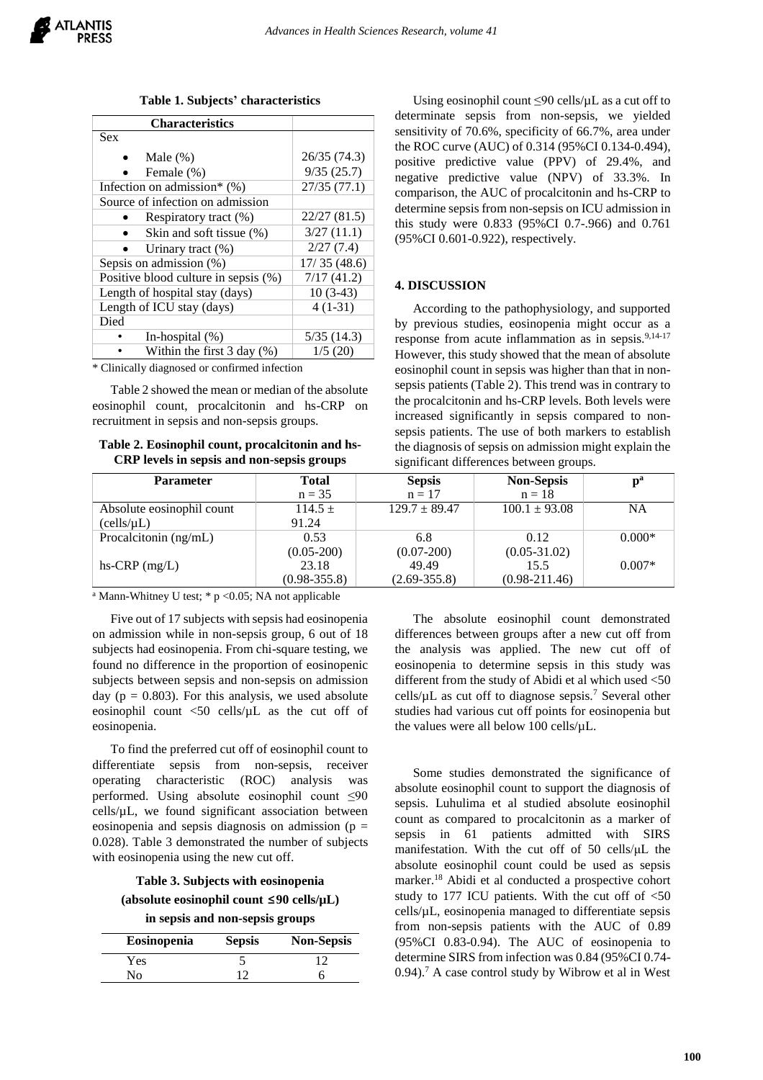**Table 1. Subjects' characteristics**

| <b>Characteristics</b>                 |              |
|----------------------------------------|--------------|
| <b>Sex</b>                             |              |
| Male $(\%)$                            | 26/35 (74.3) |
| Female (%)                             | 9/35(25.7)   |
| Infection on admission* $(\%)$         | 27/35(77.1)  |
| Source of infection on admission       |              |
| Respiratory tract (%)                  | 22/27 (81.5) |
| Skin and soft tissue (%)               | 3/27(11.1)   |
| Urinary tract (%)                      | 2/27(7.4)    |
| Sepsis on admission (%)                | 17/35(48.6)  |
| Positive blood culture in sepsis (%)   | 7/17(41.2)   |
| Length of hospital stay (days)         | $10(3-43)$   |
| Length of ICU stay (days)              | $4(1-31)$    |
| Died                                   |              |
| In-hospital (%)                        | 5/35(14.3)   |
| Within the first $3 \text{ day } (\%)$ | 1/5(20)      |

\* Clinically diagnosed or confirmed infection

Table 2 showed the mean or median of the absolute eosinophil count, procalcitonin and hs-CRP on recruitment in sepsis and non-sepsis groups.

**Table 2. Eosinophil count, procalcitonin and hs-CRP levels in sepsis and non-sepsis groups**

| determinate sepsis from non-sepsis, we yielded         |
|--------------------------------------------------------|
| sensitivity of 70.6%, specificity of 66.7%, area under |
| the ROC curve (AUC) of 0.314 (95%CI 0.134-0.494),      |
| positive predictive value (PPV) of 29.4%, and          |
| negative predictive value (NPV) of 33.3%. In           |
| comparison, the AUC of procalcitonin and hs-CRP to     |
| determine sepsis from non-sepsis on ICU admission in   |
| this study were 0.833 (95%CI 0.7-.966) and 0.761       |
| (95%CI 0.601-0.922), respectively.                     |
|                                                        |
|                                                        |

Using eosinophil count  $\leq 90$  cells/ $\mu$ L as a cut off to

#### **4. DISCUSSION**

According to the pathophysiology, and supported by previous studies, eosinopenia might occur as a response from acute inflammation as in sepsis.<sup>9,14-17</sup> However, this study showed that the mean of absolute eosinophil count in sepsis was higher than that in nonsepsis patients (Table 2). This trend was in contrary to the procalcitonin and hs-CRP levels. Both levels were increased significantly in sepsis compared to nonsepsis patients. The use of both markers to establish the diagnosis of sepsis on admission might explain the significant differences between groups.

| <b>Parameter</b>          | <b>Total</b>     | <b>Sepsis</b>     | <b>Non-Sepsis</b> | $\mathbf{p}^{\mathbf{a}}$ |
|---------------------------|------------------|-------------------|-------------------|---------------------------|
|                           | $n = 35$         | $n = 17$          | $n = 18$          |                           |
| Absolute eosinophil count | $114.5 +$        | $129.7 \pm 89.47$ | $100.1 \pm 93.08$ | <b>NA</b>                 |
| (cells/µL)                | 91.24            |                   |                   |                           |
| Procalcitonin (ng/mL)     | 0.53             | 6.8               | 0.12              | $0.000*$                  |
|                           | $(0.05 - 200)$   | $(0.07 - 200)$    | $(0.05 - 31.02)$  |                           |
| hs-CRP $(mg/L)$           | 23.18            | 49.49             | 15.5              | $0.007*$                  |
|                           | $(0.98 - 355.8)$ | $(2.69 - 355.8)$  | $(0.98 - 211.46)$ |                           |

<sup>a</sup> Mann-Whitney U test; \* p <0.05; NA not applicable

Five out of 17 subjects with sepsis had eosinopenia on admission while in non-sepsis group, 6 out of 18 subjects had eosinopenia. From chi-square testing, we found no difference in the proportion of eosinopenic subjects between sepsis and non-sepsis on admission day ( $p = 0.803$ ). For this analysis, we used absolute eosinophil count <50 cells/µL as the cut off of eosinopenia.

To find the preferred cut off of eosinophil count to differentiate sepsis from non-sepsis, receiver operating characteristic (ROC) analysis was performed. Using absolute eosinophil count ≤90  $cells/µL$ , we found significant association between eosinopenia and sepsis diagnosis on admission ( $p =$ 0.028). Table 3 demonstrated the number of subjects with eosinopenia using the new cut off.

**Table 3. Subjects with eosinopenia**

**(absolute eosinophil count ≤90 cells/µL)**

**in sepsis and non-sepsis groups**

| Eosinopenia | <b>Sepsis</b> | <b>Non-Sepsis</b> |
|-------------|---------------|-------------------|
| Yes         |               |                   |
| No.         |               |                   |

The absolute eosinophil count demonstrated differences between groups after a new cut off from the analysis was applied. The new cut off of eosinopenia to determine sepsis in this study was different from the study of Abidi et al which used <50 cells/ $\mu$ L as cut off to diagnose sepsis.<sup>7</sup> Several other studies had various cut off points for eosinopenia but the values were all below 100 cells/µL.

Some studies demonstrated the significance of absolute eosinophil count to support the diagnosis of sepsis. Luhulima et al studied absolute eosinophil count as compared to procalcitonin as a marker of sepsis in 61 patients admitted with SIRS manifestation. With the cut off of 50 cells/μL the absolute eosinophil count could be used as sepsis marker.<sup>18</sup> Abidi et al conducted a prospective cohort study to 177 ICU patients. With the cut off of  $\langle 50 \rangle$  $cells/µL$ , eosinopenia managed to differentiate sepsis from non-sepsis patients with the AUC of 0.89 (95%CI 0.83-0.94). The AUC of eosinopenia to determine SIRS from infection was 0.84 (95%CI 0.74-  $0.94$ .<sup>7</sup> A case control study by Wibrow et al in West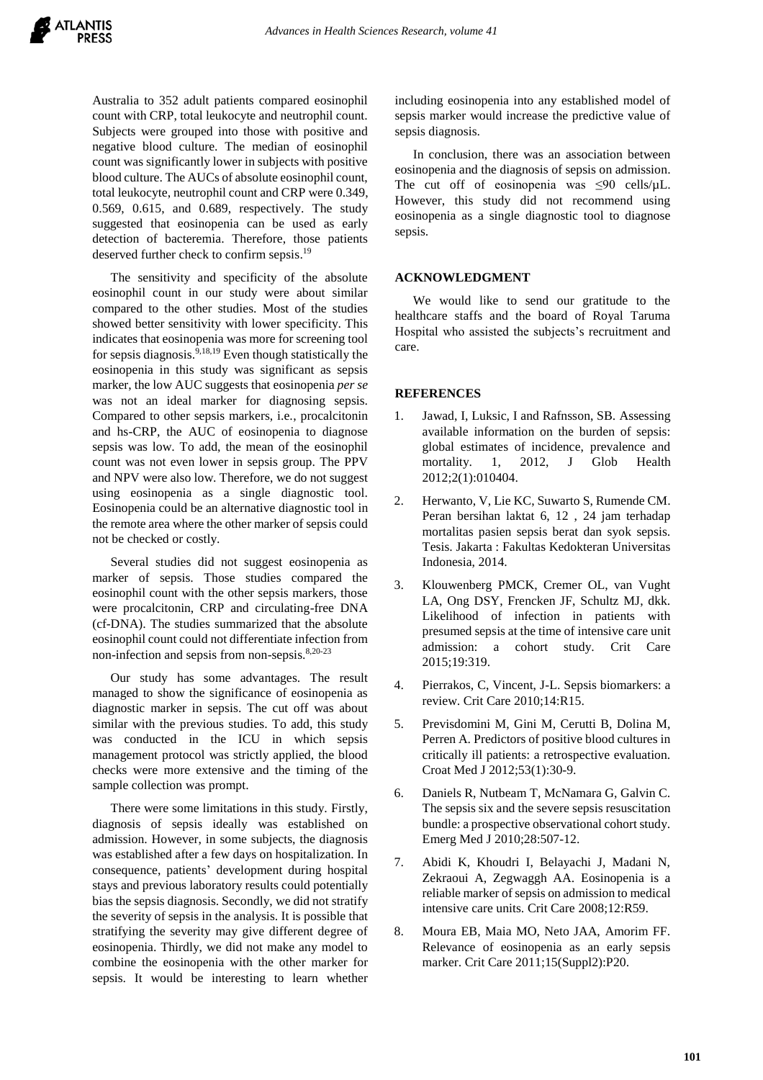Australia to 352 adult patients compared eosinophil count with CRP, total leukocyte and neutrophil count. Subjects were grouped into those with positive and negative blood culture. The median of eosinophil count was significantly lower in subjects with positive blood culture. The AUCs of absolute eosinophil count, total leukocyte, neutrophil count and CRP were 0.349, 0.569, 0.615, and 0.689, respectively. The study suggested that eosinopenia can be used as early detection of bacteremia. Therefore, those patients deserved further check to confirm sepsis. 19

The sensitivity and specificity of the absolute eosinophil count in our study were about similar compared to the other studies. Most of the studies showed better sensitivity with lower specificity. This indicates that eosinopenia was more for screening tool for sepsis diagnosis. 9,18,19 Even though statistically the eosinopenia in this study was significant as sepsis marker, the low AUC suggests that eosinopenia *per se* was not an ideal marker for diagnosing sepsis. Compared to other sepsis markers, i.e., procalcitonin and hs-CRP, the AUC of eosinopenia to diagnose sepsis was low. To add, the mean of the eosinophil count was not even lower in sepsis group. The PPV and NPV were also low. Therefore, we do not suggest using eosinopenia as a single diagnostic tool. Eosinopenia could be an alternative diagnostic tool in the remote area where the other marker of sepsis could not be checked or costly.

Several studies did not suggest eosinopenia as marker of sepsis. Those studies compared the eosinophil count with the other sepsis markers, those were procalcitonin, CRP and circulating-free DNA (cf-DNA). The studies summarized that the absolute eosinophil count could not differentiate infection from non-infection and sepsis from non-sepsis. 8,20-23

Our study has some advantages. The result managed to show the significance of eosinopenia as diagnostic marker in sepsis. The cut off was about similar with the previous studies. To add, this study was conducted in the ICU in which sepsis management protocol was strictly applied, the blood checks were more extensive and the timing of the sample collection was prompt.

There were some limitations in this study. Firstly, diagnosis of sepsis ideally was established on admission. However, in some subjects, the diagnosis was established after a few days on hospitalization. In consequence, patients' development during hospital stays and previous laboratory results could potentially bias the sepsis diagnosis. Secondly, we did not stratify the severity of sepsis in the analysis. It is possible that stratifying the severity may give different degree of eosinopenia. Thirdly, we did not make any model to combine the eosinopenia with the other marker for sepsis. It would be interesting to learn whether including eosinopenia into any established model of sepsis marker would increase the predictive value of sepsis diagnosis.

In conclusion, there was an association between eosinopenia and the diagnosis of sepsis on admission. The cut off of eosinopenia was  $\leq 90$  cells/ $\mu$ L. However, this study did not recommend using eosinopenia as a single diagnostic tool to diagnose sepsis.

# **ACKNOWLEDGMENT**

We would like to send our gratitude to the healthcare staffs and the board of Royal Taruma Hospital who assisted the subjects's recruitment and care.

# **REFERENCES**

- 1. Jawad, I, Luksic, I and Rafnsson, SB. Assessing available information on the burden of sepsis: global estimates of incidence, prevalence and mortality. 1, 2012, J Glob Health 2012;2(1):010404.
- 2. Herwanto, V, Lie KC, Suwarto S, Rumende CM. Peran bersihan laktat 6, 12 , 24 jam terhadap mortalitas pasien sepsis berat dan syok sepsis. Tesis. Jakarta : Fakultas Kedokteran Universitas Indonesia, 2014.
- 3. Klouwenberg PMCK, Cremer OL, van Vught LA, Ong DSY, Frencken JF, Schultz MJ, dkk. Likelihood of infection in patients with presumed sepsis at the time of intensive care unit admission: a cohort study. Crit Care 2015;19:319.
- 4. Pierrakos, C, Vincent, J-L. Sepsis biomarkers: a review. Crit Care 2010;14:R15.
- 5. Previsdomini M, Gini M, Cerutti B, Dolina M, Perren A. Predictors of positive blood cultures in critically ill patients: a retrospective evaluation. Croat Med J 2012;53(1):30-9.
- 6. Daniels R, Nutbeam T, McNamara G, Galvin C. The sepsis six and the severe sepsis resuscitation bundle: a prospective observational cohort study. Emerg Med J 2010;28:507-12.
- 7. Abidi K, Khoudri I, Belayachi J, Madani N, Zekraoui A, Zegwaggh AA. Eosinopenia is a reliable marker of sepsis on admission to medical intensive care units. Crit Care 2008;12:R59.
- 8. Moura EB, Maia MO, Neto JAA, Amorim FF. Relevance of eosinopenia as an early sepsis marker. Crit Care 2011;15(Suppl2):P20.